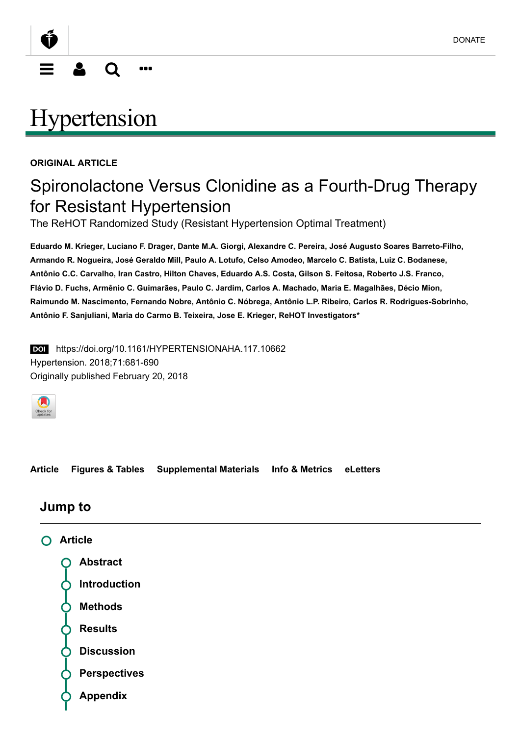<span id="page-0-0"></span>

# **[Hypertension](http://hyper.ahajournals.org/)**

#### ORIGINAL ARTICLE

## Spironolactone Versus Clonidine as a Fourth-Drug Therapy for Resistant Hypertension

The ReHOT Randomized Study (Resistant Hypertension Optimal Treatment)

Eduardo M. Krieger, Luciano F. Drager, Dante M.A. Giorgi, Alexandre C. Pereira, José Augusto Soares Barreto-Filho, Armando R. Nogueira, José Geraldo Mill, Paulo A. Lotufo, Celso Amodeo, Marcelo C. Batista, Luiz C. Bodanese, Antônio C.C. Carvalho, Iran Castro, Hilton Chaves, Eduardo A.S. Costa, Gilson S. Feitosa, Roberto J.S. Franco, Flávio D. Fuchs, Armênio C. Guimarães, Paulo C. Jardim, Carlos A. Machado, Maria E. Magalhães, Décio Mion, Raimundo M. Nascimento, Fernando Nobre, Antônio C. Nóbrega, Antônio L.P. Ribeiro, Carlos R. Rodrigues-Sobrinho, Antônio F. Sanjuliani, Maria do Carmo B. Teixeira, Jose E. Krieger, ReHOT Investigators\*

**DOI** https://doi.org/10.1161/HYPERTENSIONAHA.117.10662 Hypertension. 2018;71:681-690 Originally published February 20, 2018



[Article](http://hyper.ahajournals.org/content/71/4/681) [Figures & Tables](http://hyper.ahajournals.org/content/71/4/681/tab-figures-data) [Supplemental Materials](http://hyper.ahajournals.org/content/71/4/681/tab-supplemental) [Info & Metrics](http://hyper.ahajournals.org/content/71/4/681/tab-article-info) [eLetters](http://hyper.ahajournals.org/content/71/4/681/tab-e-letters)

#### Jump to

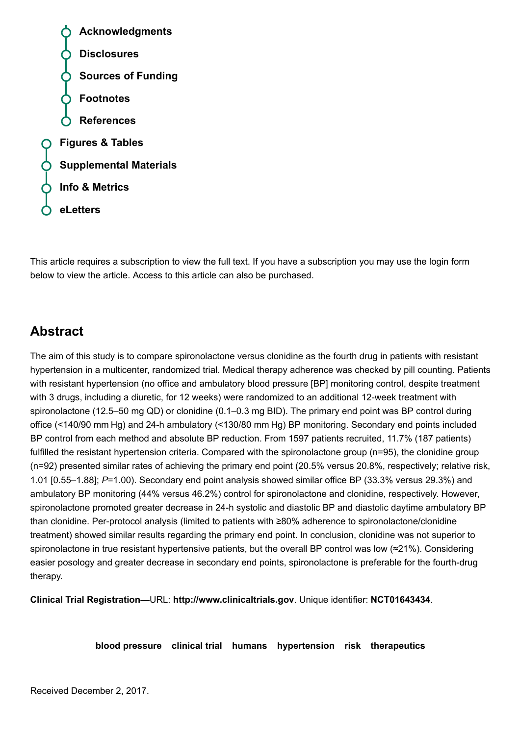Acknowledgments Disclosures Sources of Funding Footnotes References [Figures & Tables](http://hyper.ahajournals.org/content/71/4/681/tab-figures-data) [Supplemental Materials](http://hyper.ahajournals.org/content/71/4/681/tab-supplemental) [Info & Metrics](http://hyper.ahajournals.org/content/71/4/681/tab-article-info) [eLetters](http://hyper.ahajournals.org/content/71/4/681/tab-e-letters)

This article requires a subscription to view the full text. If you have a subscription you may use the login form below to view the article. Access to this article can also be purchased.

## <span id="page-1-0"></span>Abstract

The aim of this study is to compare spironolactone versus clonidine as the fourth drug in patients with resistant hypertension in a multicenter, randomized trial. Medical therapy adherence was checked by pill counting. Patients with resistant hypertension (no office and ambulatory blood pressure [BP] monitoring control, despite treatment with 3 drugs, including a diuretic, for 12 weeks) were randomized to an additional 12-week treatment with spironolactone (12.5–50 mg QD) or clonidine (0.1–0.3 mg BID). The primary end point was BP control during office (<140/90 mm Hg) and 24-h ambulatory (<130/80 mm Hg) BP monitoring. Secondary end points included BP control from each method and absolute BP reduction. From 1597 patients recruited, 11.7% (187 patients) fulfilled the resistant hypertension criteria. Compared with the spironolactone group (n=95), the clonidine group (n=92) presented similar rates of achieving the primary end point (20.5% versus 20.8%, respectively; relative risk, 1.01 [0.55–1.88]; P=1.00). Secondary end point analysis showed similar office BP (33.3% versus 29.3%) and ambulatory BP monitoring (44% versus 46.2%) control for spironolactone and clonidine, respectively. However, spironolactone promoted greater decrease in 24-h systolic and diastolic BP and diastolic daytime ambulatory BP than clonidine. Per-protocol analysis (limited to patients with ≥80% adherence to spironolactone/clonidine treatment) showed similar results regarding the primary end point. In conclusion, clonidine was not superior to spironolactone in true resistant hypertensive patients, but the overall BP control was low (≈21%). Considering easier posology and greater decrease in secondary end points, spironolactone is preferable for the fourth-drug therapy.

Clinical Trial Registration—URL: [http://www.clinicaltrials.gov](http://www.clinicaltrials.gov/). Unique identifier: [NCT01643434](http://hyper.ahajournals.org/lookup/external-ref?link_type=CLINTRIALGOV&access_num=NCT01643434&atom=%2Fhypertensionaha%2F71%2F4%2F681.atom).

[blood pressure](http://hyper.ahajournals.org/keyword/blood-pressure) [clinical trial](http://hyper.ahajournals.org/keyword/clinical-trial) [humans](http://hyper.ahajournals.org/keyword/humans) [hypertension](http://hyper.ahajournals.org/keyword/hypertension) [risk](http://hyper.ahajournals.org/keyword/risk) [therapeutics](http://hyper.ahajournals.org/keyword/therapeutics)